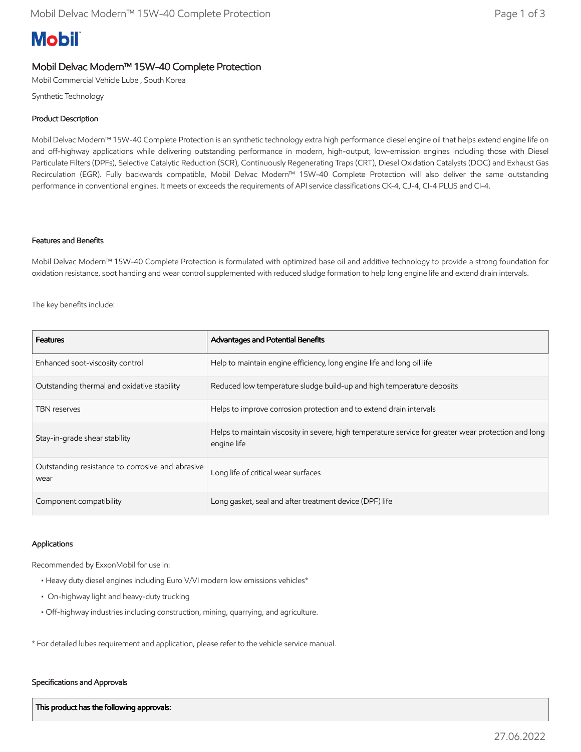# **Mobil**

# Mobil Delvac Modern™ 15W-40 Complete Protection

Mobil Commercial Vehicle Lube , South Korea

Synthetic Technology

### Product Description

Mobil Delvac Modern™ 15W-40 Complete Protection is an synthetic technology extra high performance diesel engine oil that helps extend engine life on and off-highway applications while delivering outstanding performance in modern, high-output, low-emission engines including those with Diesel Particulate Filters (DPFs), Selective Catalytic Reduction (SCR), Continuously Regenerating Traps (CRT), Diesel Oxidation Catalysts (DOC) and Exhaust Gas Recirculation (EGR). Fully backwards compatible, Mobil Delvac Modern™ 15W-40 Complete Protection will also deliver the same outstanding performance in conventional engines. It meets or exceeds the requirements of API service classifications CK-4, CJ-4, CI-4 PLUS and CI-4.

#### Features and Benefits

Mobil Delvac Modern™ 15W-40 Complete Protection is formulated with optimized base oil and additive technology to provide a strong foundation for oxidation resistance, soot handing and wear control supplemented with reduced sludge formation to help long engine life and extend drain intervals.

The key benefits include:

| <b>Features</b>                                          | Advantages and Potential Benefits                                                                                   |
|----------------------------------------------------------|---------------------------------------------------------------------------------------------------------------------|
| Enhanced soot-viscosity control                          | Help to maintain engine efficiency, long engine life and long oil life                                              |
| Outstanding thermal and oxidative stability              | Reduced low temperature sludge build-up and high temperature deposits                                               |
| <b>TBN</b> reserves                                      | Helps to improve corrosion protection and to extend drain intervals                                                 |
| Stay-in-grade shear stability                            | Helps to maintain viscosity in severe, high temperature service for greater wear protection and long<br>engine life |
| Outstanding resistance to corrosive and abrasive<br>wear | Long life of critical wear surfaces                                                                                 |
| Component compatibility                                  | Long gasket, seal and after treatment device (DPF) life                                                             |

#### Applications

Recommended by ExxonMobil for use in:

- Heavy duty diesel engines including Euro V/VI modern low emissions vehicles\*
- On-highway light and heavy-duty trucking
- Off-highway industries including construction, mining, quarrying, and agriculture.

\* For detailed lubes requirement and application, please refer to the vehicle service manual.

#### Specifications and Approvals

This product has the following approvals: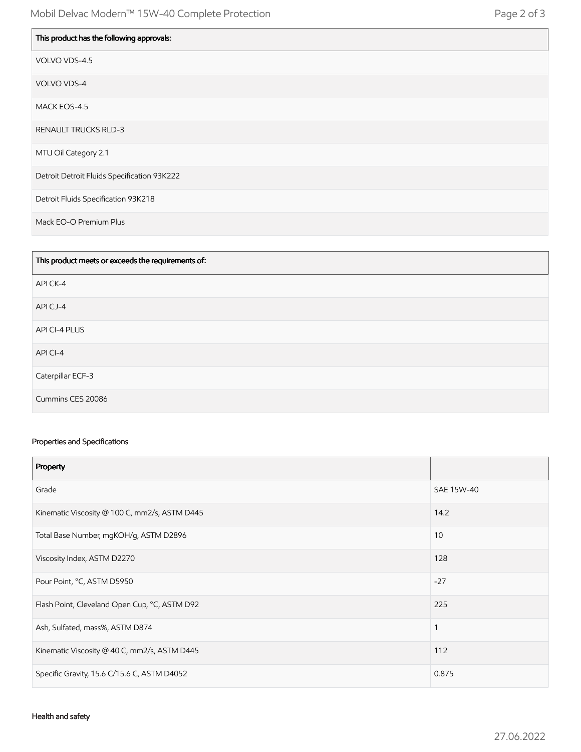| This product has the following approvals:   |
|---------------------------------------------|
| VOLVO VDS-4.5                               |
| VOLVO VDS-4                                 |
| MACK EOS-4.5                                |
| <b>RENAULT TRUCKS RLD-3</b>                 |
| MTU Oil Category 2.1                        |
| Detroit Detroit Fluids Specification 93K222 |
| Detroit Fluids Specification 93K218         |
| Mack EO-O Premium Plus                      |

| This product meets or exceeds the requirements of: |
|----------------------------------------------------|
| API CK-4                                           |
| API CJ-4                                           |
| API CI-4 PLUS                                      |
| API CI-4                                           |
| Caterpillar ECF-3                                  |
| Cummins CES 20086                                  |

## Properties and Specifications

| Property                                      |              |
|-----------------------------------------------|--------------|
| Grade                                         | SAE 15W-40   |
| Kinematic Viscosity @ 100 C, mm2/s, ASTM D445 | 14.2         |
| Total Base Number, mgKOH/g, ASTM D2896        | 10           |
| Viscosity Index, ASTM D2270                   | 128          |
| Pour Point, °C, ASTM D5950                    | $-27$        |
| Flash Point, Cleveland Open Cup, °C, ASTM D92 | 225          |
| Ash, Sulfated, mass%, ASTM D874               | $\mathbf{1}$ |
| Kinematic Viscosity @ 40 C, mm2/s, ASTM D445  | 112          |
| Specific Gravity, 15.6 C/15.6 C, ASTM D4052   | 0.875        |